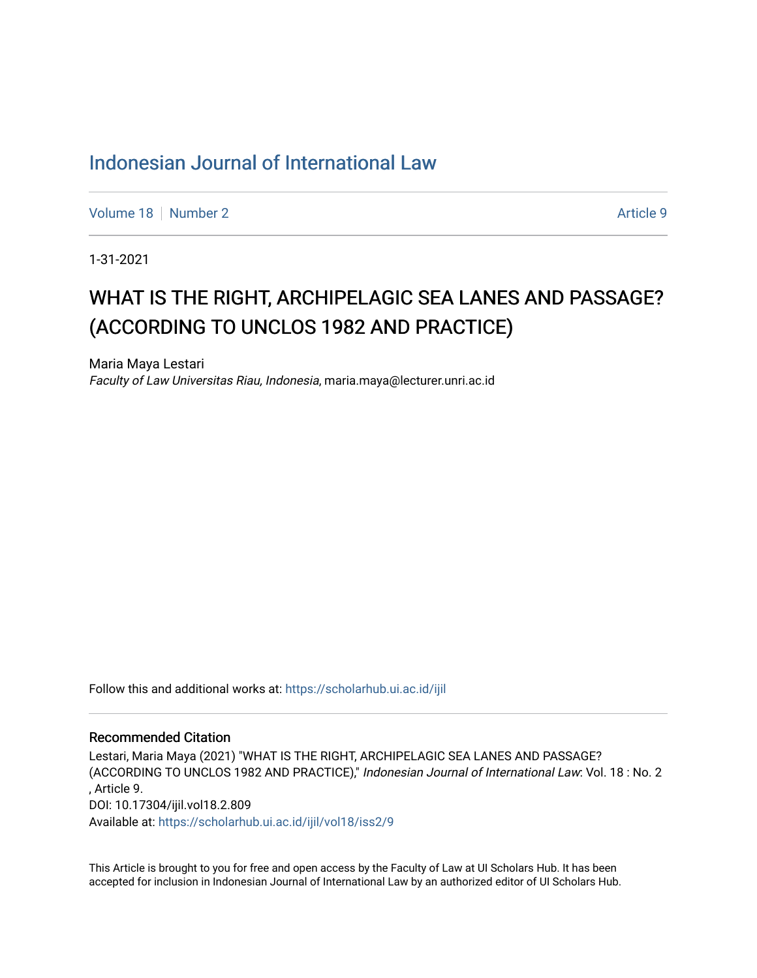# [Indonesian Journal of International Law](https://scholarhub.ui.ac.id/ijil)

[Volume 18](https://scholarhub.ui.ac.id/ijil/vol18) [Number 2](https://scholarhub.ui.ac.id/ijil/vol18/iss2) Article 9

1-31-2021

# WHAT IS THE RIGHT, ARCHIPELAGIC SEA LANES AND PASSAGE? (ACCORDING TO UNCLOS 1982 AND PRACTICE)

Maria Maya Lestari Faculty of Law Universitas Riau, Indonesia, maria.maya@lecturer.unri.ac.id

Follow this and additional works at: [https://scholarhub.ui.ac.id/ijil](https://scholarhub.ui.ac.id/ijil?utm_source=scholarhub.ui.ac.id%2Fijil%2Fvol18%2Fiss2%2F9&utm_medium=PDF&utm_campaign=PDFCoverPages) 

#### Recommended Citation

Lestari, Maria Maya (2021) "WHAT IS THE RIGHT, ARCHIPELAGIC SEA LANES AND PASSAGE? (ACCORDING TO UNCLOS 1982 AND PRACTICE)," Indonesian Journal of International Law: Vol. 18: No. 2 , Article 9. DOI: 10.17304/ijil.vol18.2.809 Available at: [https://scholarhub.ui.ac.id/ijil/vol18/iss2/9](https://scholarhub.ui.ac.id/ijil/vol18/iss2/9?utm_source=scholarhub.ui.ac.id%2Fijil%2Fvol18%2Fiss2%2F9&utm_medium=PDF&utm_campaign=PDFCoverPages) 

This Article is brought to you for free and open access by the Faculty of Law at UI Scholars Hub. It has been accepted for inclusion in Indonesian Journal of International Law by an authorized editor of UI Scholars Hub.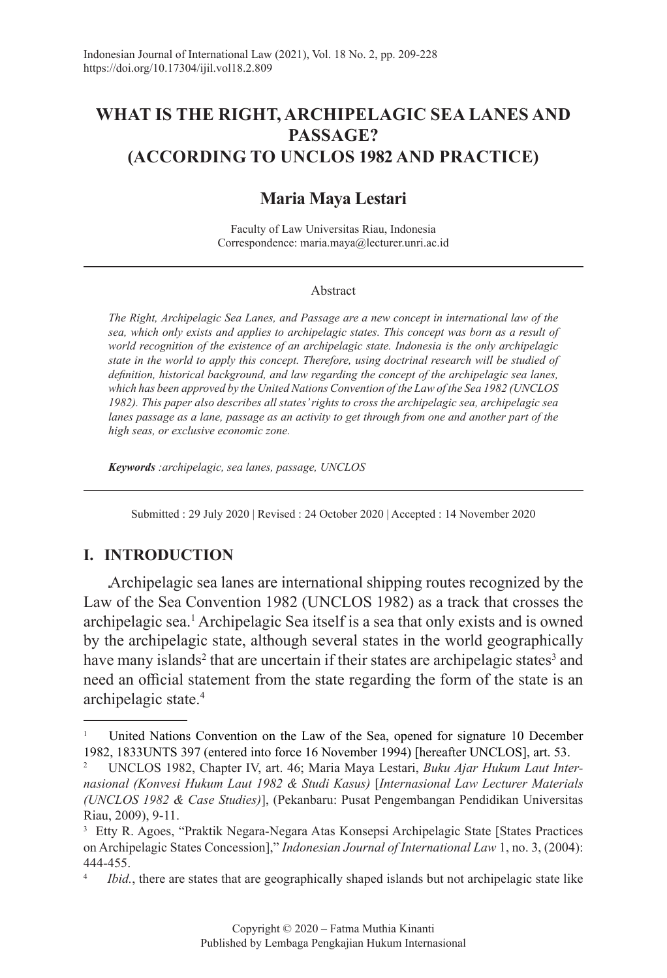# **WHAT IS THE RIGHT, ARCHIPELAGIC SEA LANES AND PASSAGE? (ACCORDING TO UNCLOS 1982 AND PRACTICE)**

# **Maria Maya Lestari**

Faculty of Law Universitas Riau, Indonesia Correspondence: maria.maya@lecturer.unri.ac.id

#### Abstract

*The Right, Archipelagic Sea Lanes, and Passage are a new concept in international law of the sea, which only exists and applies to archipelagic states. This concept was born as a result of world recognition of the existence of an archipelagic state. Indonesia is the only archipelagic state in the world to apply this concept. Therefore, using doctrinal research will be studied of definition, historical background, and law regarding the concept of the archipelagic sea lanes, which has been approved by the United Nations Convention of the Law of the Sea 1982 (UNCLOS 1982). This paper also describes all states' rights to cross the archipelagic sea, archipelagic sea lanes passage as a lane, passage as an activity to get through from one and another part of the high seas, or exclusive economic zone.*

*Keywords :archipelagic, sea lanes, passage, UNCLOS*

Submitted : 29 July 2020 | Revised : 24 October 2020 | Accepted : 14 November 2020

#### **I. INTRODUCTION**

Archipelagic sea lanes are international shipping routes recognized by the Law of the Sea Convention 1982 (UNCLOS 1982) as a track that crosses the archipelagic sea.<sup>1</sup> Archipelagic Sea itself is a sea that only exists and is owned by the archipelagic state, although several states in the world geographically have many islands<sup>2</sup> that are uncertain if their states are archipelagic states<sup>3</sup> and need an official statement from the state regarding the form of the state is an archipelagic state.<sup>4</sup>

<sup>1</sup> United Nations Convention on the Law of the Sea, opened for signature 10 December 1982, 1833UNTS 397 (entered into force 16 November 1994) [hereafter UNCLOS], art. 53.

<sup>2</sup> UNCLOS 1982, Chapter IV, art. 46; Maria Maya Lestari, *Buku Ajar Hukum Laut Internasional (Konvesi Hukum Laut 1982 & Studi Kasus)* [*Internasional Law Lecturer Materials (UNCLOS 1982 & Case Studies)*], (Pekanbaru: Pusat Pengembangan Pendidikan Universitas Riau, 2009), 9-11.

<sup>3</sup> Etty R. Agoes, "Praktik Negara-Negara Atas Konsepsi Archipelagic State [States Practices on Archipelagic States Concession]," *Indonesian Journal of International Law* 1, no. 3, (2004): 444-455.

<sup>4</sup> *Ibid.*, there are states that are geographically shaped islands but not archipelagic state like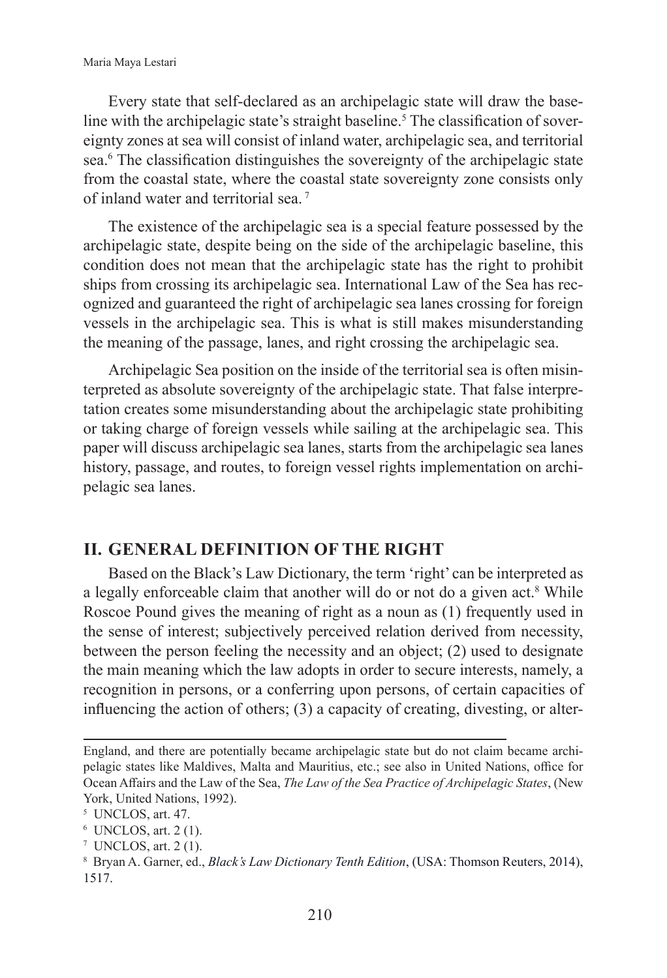Every state that self-declared as an archipelagic state will draw the baseline with the archipelagic state's straight baseline.<sup>5</sup> The classification of sovereignty zones at sea will consist of inland water, archipelagic sea, and territorial sea.<sup>6</sup> The classification distinguishes the sovereignty of the archipelagic state from the coastal state, where the coastal state sovereignty zone consists only of inland water and territorial sea. <sup>7</sup>

The existence of the archipelagic sea is a special feature possessed by the archipelagic state, despite being on the side of the archipelagic baseline, this condition does not mean that the archipelagic state has the right to prohibit ships from crossing its archipelagic sea. International Law of the Sea has recognized and guaranteed the right of archipelagic sea lanes crossing for foreign vessels in the archipelagic sea. This is what is still makes misunderstanding the meaning of the passage, lanes, and right crossing the archipelagic sea.

Archipelagic Sea position on the inside of the territorial sea is often misinterpreted as absolute sovereignty of the archipelagic state. That false interpretation creates some misunderstanding about the archipelagic state prohibiting or taking charge of foreign vessels while sailing at the archipelagic sea. This paper will discuss archipelagic sea lanes, starts from the archipelagic sea lanes history, passage, and routes, to foreign vessel rights implementation on archipelagic sea lanes.

#### **II. GENERAL DEFINITION OF THE RIGHT**

Based on the Black's Law Dictionary, the term 'right' can be interpreted as a legally enforceable claim that another will do or not do a given act.<sup>8</sup> While Roscoe Pound gives the meaning of right as a noun as (1) frequently used in the sense of interest; subjectively perceived relation derived from necessity, between the person feeling the necessity and an object; (2) used to designate the main meaning which the law adopts in order to secure interests, namely, a recognition in persons, or a conferring upon persons, of certain capacities of influencing the action of others; (3) a capacity of creating, divesting, or alter-

England, and there are potentially became archipelagic state but do not claim became archipelagic states like Maldives, Malta and Mauritius, etc.; see also in United Nations, office for Ocean Affairs and the Law of the Sea, *The Law of the Sea Practice of Archipelagic States*, (New York, United Nations, 1992).

<sup>5</sup> UNCLOS, art. 47.

<sup>6</sup> UNCLOS, art. 2 (1).

<sup>7</sup> UNCLOS, art. 2 (1).

<sup>8</sup> Bryan A. Garner, ed., *Black's Law Dictionary Tenth Edition*, (USA: Thomson Reuters, 2014), 1517.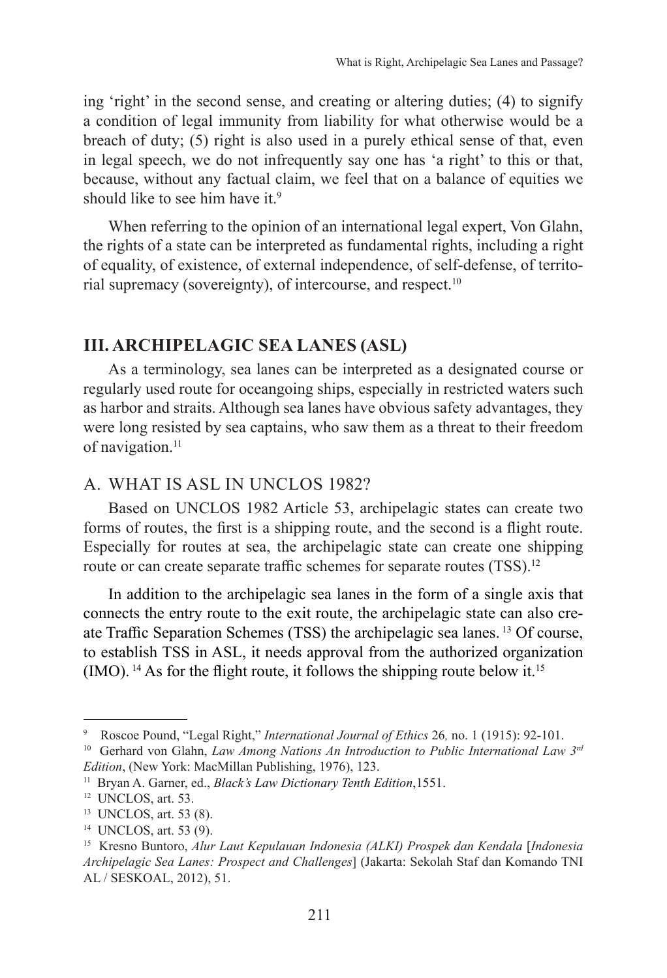ing 'right' in the second sense, and creating or altering duties; (4) to signify a condition of legal immunity from liability for what otherwise would be a breach of duty; (5) right is also used in a purely ethical sense of that, even in legal speech, we do not infrequently say one has 'a right' to this or that, because, without any factual claim, we feel that on a balance of equities we should like to see him have it.<sup>9</sup>

When referring to the opinion of an international legal expert, Von Glahn, the rights of a state can be interpreted as fundamental rights, including a right of equality, of existence, of external independence, of self-defense, of territorial supremacy (sovereignty), of intercourse, and respect.10

## **III. ARCHIPELAGIC SEA LANES (ASL)**

As a terminology, sea lanes can be interpreted as a designated course or regularly used route for oceangoing ships, especially in restricted waters such as harbor and straits. Although sea lanes have obvious safety advantages, they were long resisted by sea captains, who saw them as a threat to their freedom of navigation.<sup>11</sup>

## A. WHAT IS ASL IN UNCLOS 1982?

Based on UNCLOS 1982 Article 53, archipelagic states can create two forms of routes, the first is a shipping route, and the second is a flight route. Especially for routes at sea, the archipelagic state can create one shipping route or can create separate traffic schemes for separate routes (TSS).<sup>12</sup>

In addition to the archipelagic sea lanes in the form of a single axis that connects the entry route to the exit route, the archipelagic state can also create Traffic Separation Schemes (TSS) the archipelagic sea lanes. 13 Of course, to establish TSS in ASL, it needs approval from the authorized organization  $(MO)$ . <sup>14</sup> As for the flight route, it follows the shipping route below it.<sup>15</sup>

<sup>&</sup>lt;sup>9</sup> Roscoe Pound, "Legal Right," *International Journal of Ethics* 26, no. 1 (1915): 92-101.

<sup>&</sup>lt;sup>10</sup> Gerhard von Glahn, *Law Among Nations An Introduction to Public International Law 3<sup>rd</sup> Edition*, (New York: MacMillan Publishing, 1976), 123.

<sup>11</sup> Bryan A. Garner, ed., *Black's Law Dictionary Tenth Edition*,1551.

<sup>&</sup>lt;sup>12</sup> UNCLOS, art. 53.

<sup>13</sup> UNCLOS, art. 53 (8).

<sup>14</sup> UNCLOS, art. 53 (9).

<sup>15</sup> Kresno Buntoro, *Alur Laut Kepulauan Indonesia (ALKI) Prospek dan Kendala* [*Indonesia Archipelagic Sea Lanes: Prospect and Challenges*] (Jakarta: Sekolah Staf dan Komando TNI AL / SESKOAL, 2012), 51.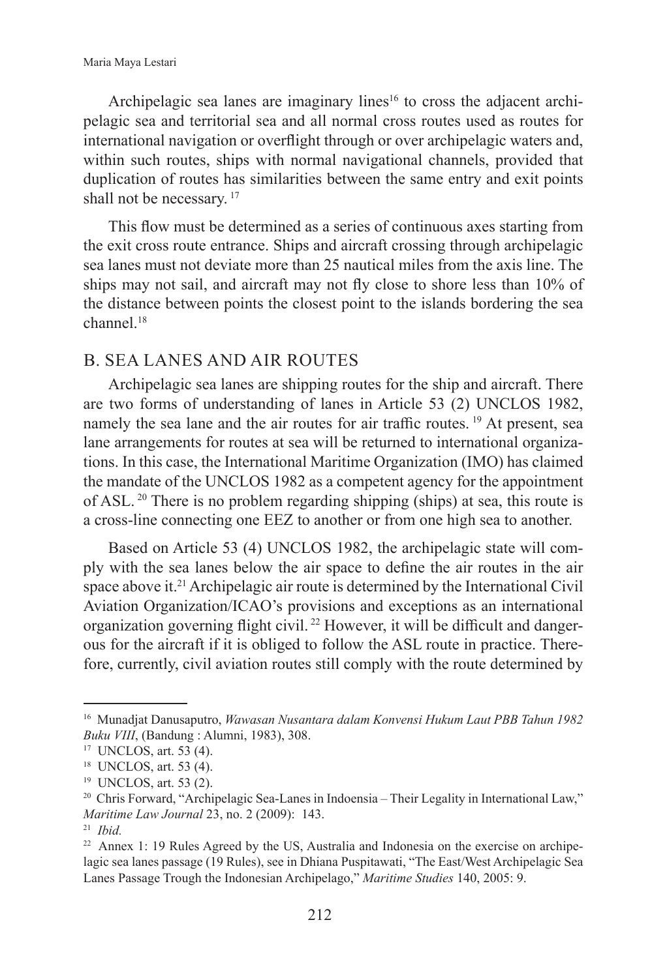Archipelagic sea lanes are imaginary lines<sup>16</sup> to cross the adjacent archipelagic sea and territorial sea and all normal cross routes used as routes for international navigation or overflight through or over archipelagic waters and, within such routes, ships with normal navigational channels, provided that duplication of routes has similarities between the same entry and exit points shall not be necessary.<sup>17</sup>

This flow must be determined as a series of continuous axes starting from the exit cross route entrance. Ships and aircraft crossing through archipelagic sea lanes must not deviate more than 25 nautical miles from the axis line. The ships may not sail, and aircraft may not fly close to shore less than 10% of the distance between points the closest point to the islands bordering the sea  $channel<sup>18</sup>$ 

## B. SEA LANES AND AIR ROUTES

Archipelagic sea lanes are shipping routes for the ship and aircraft. There are two forms of understanding of lanes in Article 53 (2) UNCLOS 1982, namely the sea lane and the air routes for air traffic routes.<sup>19</sup> At present, sea lane arrangements for routes at sea will be returned to international organizations. In this case, the International Maritime Organization (IMO) has claimed the mandate of the UNCLOS 1982 as a competent agency for the appointment of ASL. 20 There is no problem regarding shipping (ships) at sea, this route is a cross-line connecting one EEZ to another or from one high sea to another.

Based on Article 53 (4) UNCLOS 1982, the archipelagic state will comply with the sea lanes below the air space to define the air routes in the air space above it.<sup>21</sup> Archipelagic air route is determined by the International Civil Aviation Organization/ICAO's provisions and exceptions as an international organization governing flight civil. <sup>22</sup> However, it will be difficult and dangerous for the aircraft if it is obliged to follow the ASL route in practice. Therefore, currently, civil aviation routes still comply with the route determined by

<sup>16</sup> Munadjat Danusaputro, *Wawasan Nusantara dalam Konvensi Hukum Laut PBB Tahun 1982 Buku VIII*, (Bandung : Alumni, 1983), 308.

<sup>17</sup> UNCLOS, art. 53 (4).

<sup>18</sup> UNCLOS, art. 53 (4).

<sup>19</sup> UNCLOS, art. 53 (2).

<sup>&</sup>lt;sup>20</sup> Chris Forward, "Archipelagic Sea-Lanes in Indoensia – Their Legality in International Law," *Maritime Law Journal* 23, no. 2 (2009): 143.

<sup>21</sup> *Ibid.*

<sup>22</sup> Annex 1: 19 Rules Agreed by the US, Australia and Indonesia on the exercise on archipelagic sea lanes passage (19 Rules), see in Dhiana Puspitawati, "The East/West Archipelagic Sea Lanes Passage Trough the Indonesian Archipelago," *Maritime Studies* 140, 2005: 9.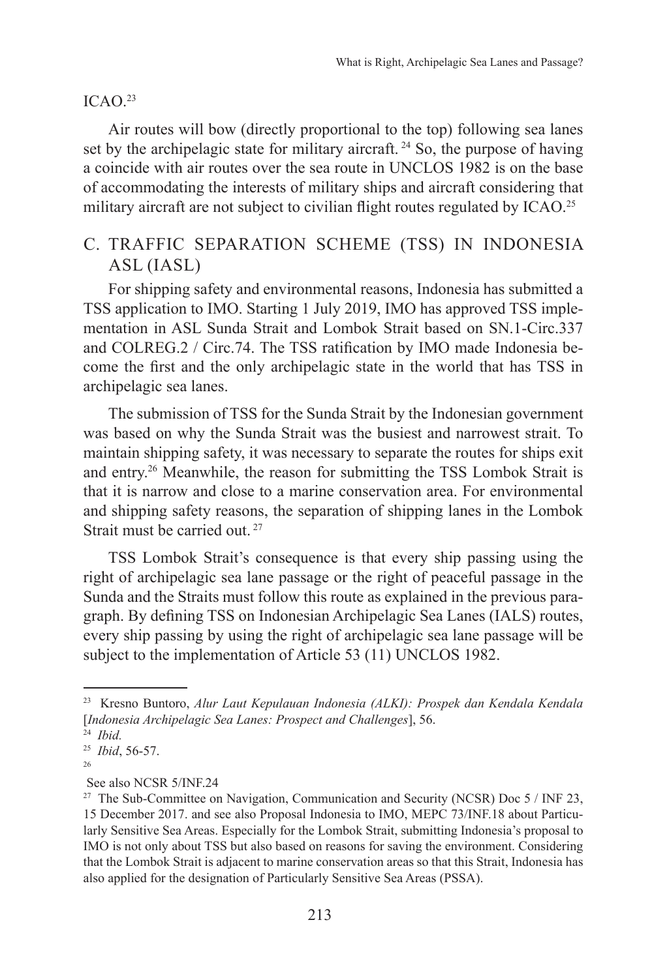#### $ICAO.<sup>23</sup>$

Air routes will bow (directly proportional to the top) following sea lanes set by the archipelagic state for military aircraft.<sup>24</sup> So, the purpose of having a coincide with air routes over the sea route in UNCLOS 1982 is on the base of accommodating the interests of military ships and aircraft considering that military aircraft are not subject to civilian flight routes regulated by ICAO.<sup>25</sup>

# C. TRAFFIC SEPARATION SCHEME (TSS) IN INDONESIA ASL (IASL)

For shipping safety and environmental reasons, Indonesia has submitted a TSS application to IMO. Starting 1 July 2019, IMO has approved TSS implementation in ASL Sunda Strait and Lombok Strait based on SN.1-Circ.337 and COLREG.2 / Circ.74. The TSS ratification by IMO made Indonesia become the first and the only archipelagic state in the world that has TSS in archipelagic sea lanes.

The submission of TSS for the Sunda Strait by the Indonesian government was based on why the Sunda Strait was the busiest and narrowest strait. To maintain shipping safety, it was necessary to separate the routes for ships exit and entry.26 Meanwhile, the reason for submitting the TSS Lombok Strait is that it is narrow and close to a marine conservation area. For environmental and shipping safety reasons, the separation of shipping lanes in the Lombok Strait must be carried out. <sup>27</sup>

TSS Lombok Strait's consequence is that every ship passing using the right of archipelagic sea lane passage or the right of peaceful passage in the Sunda and the Straits must follow this route as explained in the previous paragraph. By defining TSS on Indonesian Archipelagic Sea Lanes (IALS) routes, every ship passing by using the right of archipelagic sea lane passage will be subject to the implementation of Article 53 (11) UNCLOS 1982.

<sup>23</sup> Kresno Buntoro, *Alur Laut Kepulauan Indonesia (ALKI): Prospek dan Kendala Kendala* [*Indonesia Archipelagic Sea Lanes: Prospect and Challenges*], 56.

<sup>24</sup> *Ibid.*

<sup>25</sup> *Ibid*, 56-57. 26

See also NCSR 5/INF.24

<sup>&</sup>lt;sup>27</sup> The Sub-Committee on Navigation, Communication and Security (NCSR) Doc 5 / INF 23, 15 December 2017. and see also Proposal Indonesia to IMO, MEPC 73/INF.18 about Particularly Sensitive Sea Areas. Especially for the Lombok Strait, submitting Indonesia's proposal to IMO is not only about TSS but also based on reasons for saving the environment. Considering that the Lombok Strait is adjacent to marine conservation areas so that this Strait, Indonesia has also applied for the designation of Particularly Sensitive Sea Areas (PSSA).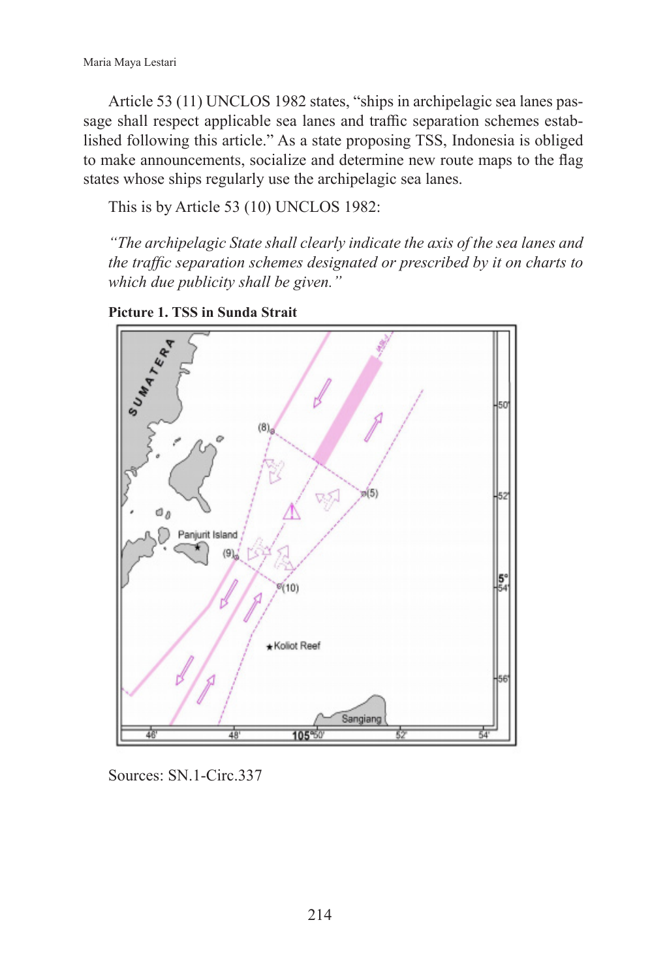Article 53 (11) UNCLOS 1982 states, "ships in archipelagic sea lanes passage shall respect applicable sea lanes and traffic separation schemes established following this article." As a state proposing TSS, Indonesia is obliged to make announcements, socialize and determine new route maps to the flag states whose ships regularly use the archipelagic sea lanes.

This is by Article 53 (10) UNCLOS 1982:

*"The archipelagic State shall clearly indicate the axis of the sea lanes and the traffic separation schemes designated or prescribed by it on charts to which due publicity shall be given."*





Sources: SN.1-Circ.337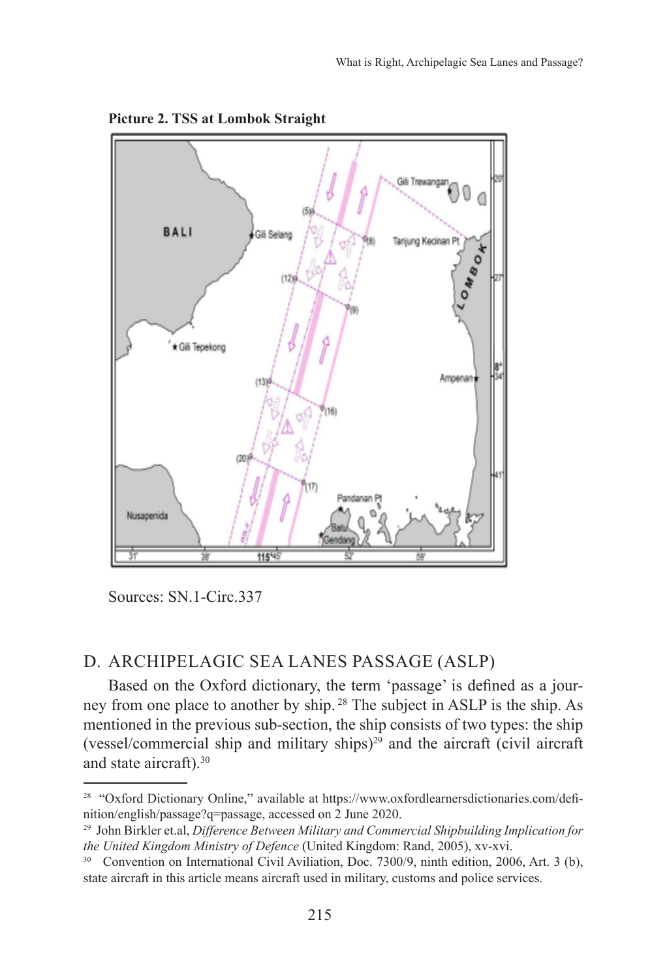

**Picture 2. TSS at Lombok Straight**

Sources: SN.1-Circ.337

## D. ARCHIPELAGIC SEA LANES PASSAGE (ASLP)

Based on the Oxford dictionary, the term 'passage' is defined as a journey from one place to another by ship. 28 The subject in ASLP is the ship. As mentioned in the previous sub-section, the ship consists of two types: the ship (vessel/commercial ship and military ships) $29$  and the aircraft (civil aircraft and state aircraft).30

<sup>&</sup>lt;sup>28</sup> "Oxford Dictionary Online," available at https://www.oxfordlearnersdictionaries.com/definition/english/passage?q=passage, accessed on 2 June 2020.

<sup>29</sup> John Birkler et.al, *Difference Between Military and Commercial Shipbuilding Implication for the United Kingdom Ministry of Defence* (United Kingdom: Rand, 2005), xv-xvi.

<sup>&</sup>lt;sup>30</sup> Convention on International Civil Aviliation, Doc. 7300/9, ninth edition, 2006, Art. 3 (b), state aircraft in this article means aircraft used in military, customs and police services.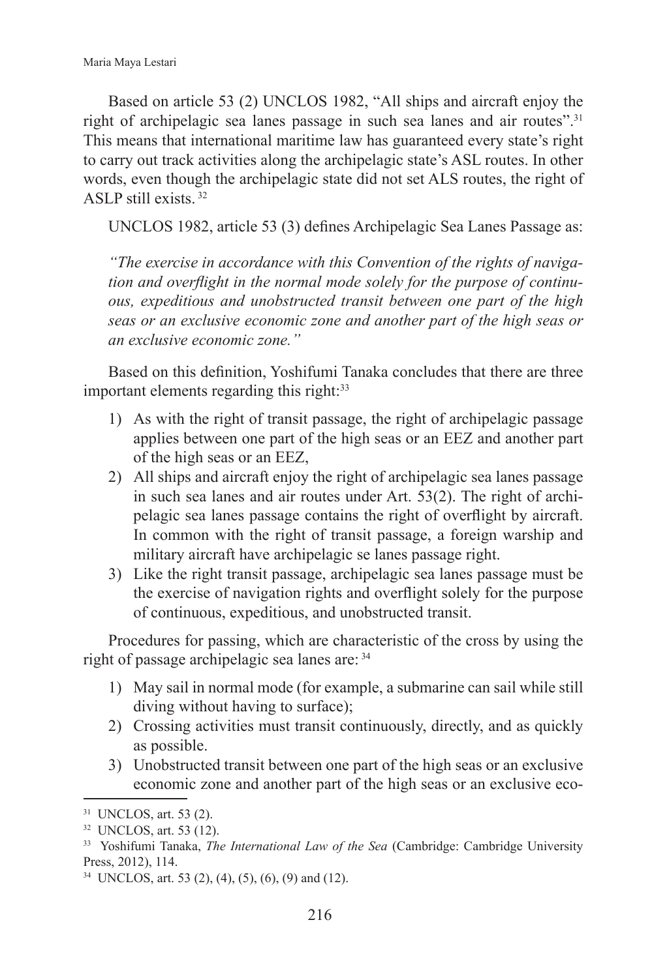Based on article 53 (2) UNCLOS 1982, "All ships and aircraft enjoy the right of archipelagic sea lanes passage in such sea lanes and air routes".<sup>31</sup> This means that international maritime law has guaranteed every state's right to carry out track activities along the archipelagic state's ASL routes. In other words, even though the archipelagic state did not set ALS routes, the right of ASLP still exists. <sup>32</sup>

UNCLOS 1982, article 53 (3) defines Archipelagic Sea Lanes Passage as:

*"The exercise in accordance with this Convention of the rights of navigation and overflight in the normal mode solely for the purpose of continuous, expeditious and unobstructed transit between one part of the high seas or an exclusive economic zone and another part of the high seas or an exclusive economic zone."* 

Based on this definition, Yoshifumi Tanaka concludes that there are three important elements regarding this right:<sup>33</sup>

- 1) As with the right of transit passage, the right of archipelagic passage applies between one part of the high seas or an EEZ and another part of the high seas or an EEZ,
- 2) All ships and aircraft enjoy the right of archipelagic sea lanes passage in such sea lanes and air routes under Art. 53(2). The right of archipelagic sea lanes passage contains the right of overflight by aircraft. In common with the right of transit passage, a foreign warship and military aircraft have archipelagic se lanes passage right.
- 3) Like the right transit passage, archipelagic sea lanes passage must be the exercise of navigation rights and overflight solely for the purpose of continuous, expeditious, and unobstructed transit.

Procedures for passing, which are characteristic of the cross by using the right of passage archipelagic sea lanes are: <sup>34</sup>

- 1) May sail in normal mode (for example, a submarine can sail while still diving without having to surface);
- 2) Crossing activities must transit continuously, directly, and as quickly as possible.
- 3) Unobstructed transit between one part of the high seas or an exclusive economic zone and another part of the high seas or an exclusive eco-

<sup>31</sup> UNCLOS, art. 53 (2).

<sup>32</sup> UNCLOS, art. 53 (12).

<sup>33</sup> Yoshifumi Tanaka, *The International Law of the Sea* (Cambridge: Cambridge University Press, 2012), 114.

<sup>34</sup> UNCLOS, art. 53 (2), (4), (5), (6), (9) and (12).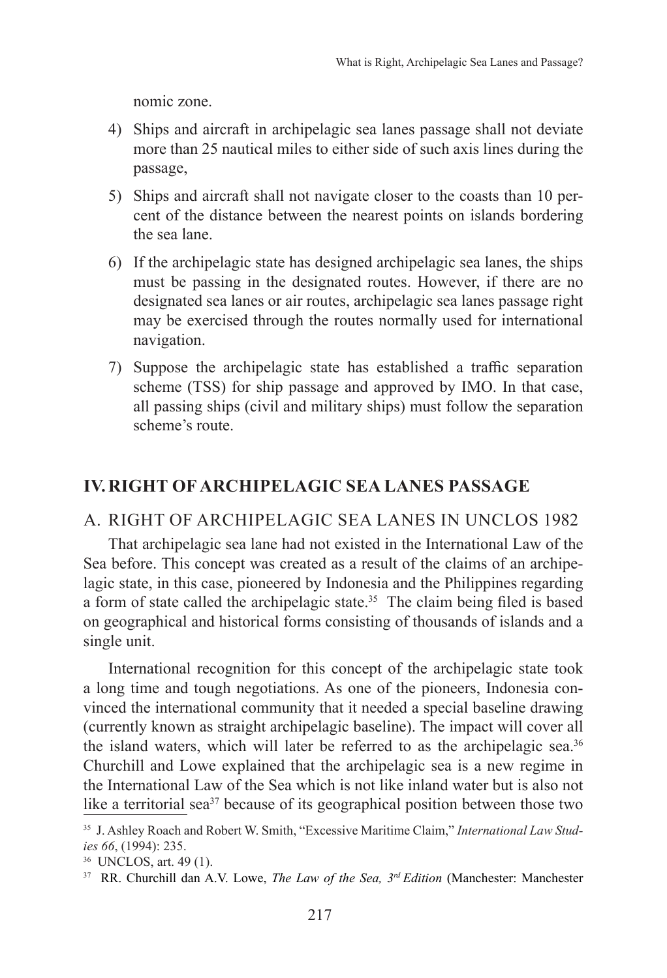nomic zone.

- 4) Ships and aircraft in archipelagic sea lanes passage shall not deviate more than 25 nautical miles to either side of such axis lines during the passage,
- 5) Ships and aircraft shall not navigate closer to the coasts than 10 percent of the distance between the nearest points on islands bordering the sea lane.
- 6) If the archipelagic state has designed archipelagic sea lanes, the ships must be passing in the designated routes. However, if there are no designated sea lanes or air routes, archipelagic sea lanes passage right may be exercised through the routes normally used for international navigation.
- 7) Suppose the archipelagic state has established a traffic separation scheme (TSS) for ship passage and approved by IMO. In that case, all passing ships (civil and military ships) must follow the separation scheme's route.

## **IV. RIGHT OF ARCHIPELAGIC SEA LANES PASSAGE**

#### A. RIGHT OF ARCHIPELAGIC SEA LANES IN UNCLOS 1982

That archipelagic sea lane had not existed in the International Law of the Sea before. This concept was created as a result of the claims of an archipelagic state, in this case, pioneered by Indonesia and the Philippines regarding a form of state called the archipelagic state.<sup>35</sup> The claim being filed is based on geographical and historical forms consisting of thousands of islands and a single unit.

International recognition for this concept of the archipelagic state took a long time and tough negotiations. As one of the pioneers, Indonesia convinced the international community that it needed a special baseline drawing (currently known as straight archipelagic baseline). The impact will cover all the island waters, which will later be referred to as the archipelagic sea.<sup>36</sup> Churchill and Lowe explained that the archipelagic sea is a new regime in the International Law of the Sea which is not like inland water but is also not like a territorial sea<sup>37</sup> because of its geographical position between those two

<sup>35</sup> J. Ashley Roach and Robert W. Smith, "Excessive Maritime Claim," *International Law Studies 66*, (1994): 235.

<sup>36</sup> UNCLOS, art. 49 (1).

<sup>37</sup> RR. Churchill dan A.V. Lowe, *The Law of the Sea, 3rd Edition* (Manchester: Manchester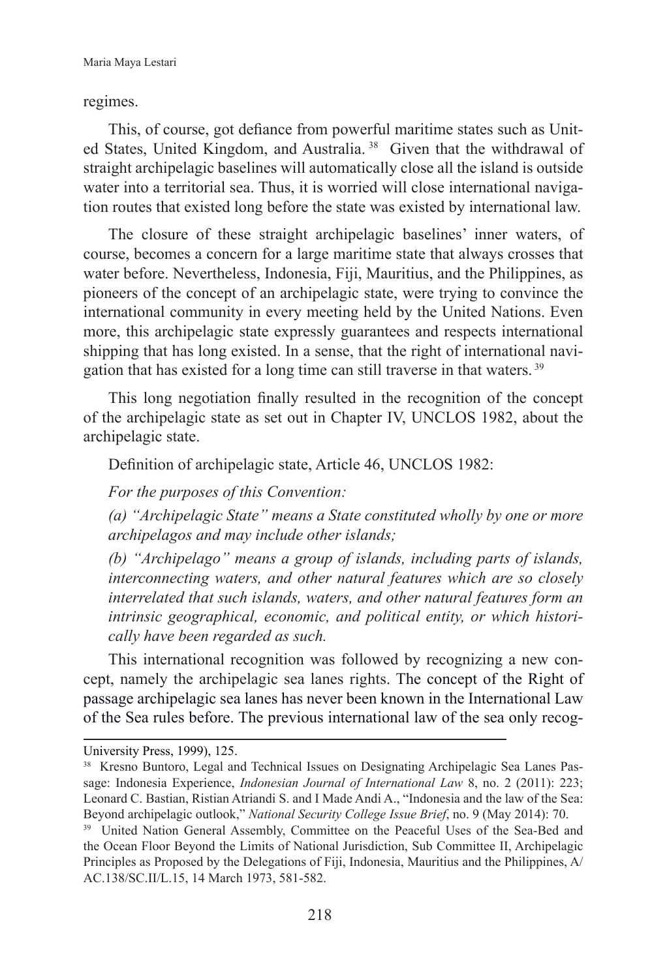#### regimes.

This, of course, got defiance from powerful maritime states such as United States, United Kingdom, and Australia.<sup>38</sup> Given that the withdrawal of straight archipelagic baselines will automatically close all the island is outside water into a territorial sea. Thus, it is worried will close international navigation routes that existed long before the state was existed by international law.

The closure of these straight archipelagic baselines' inner waters, of course, becomes a concern for a large maritime state that always crosses that water before. Nevertheless, Indonesia, Fiji, Mauritius, and the Philippines, as pioneers of the concept of an archipelagic state, were trying to convince the international community in every meeting held by the United Nations. Even more, this archipelagic state expressly guarantees and respects international shipping that has long existed. In a sense, that the right of international navigation that has existed for a long time can still traverse in that waters. <sup>39</sup>

This long negotiation finally resulted in the recognition of the concept of the archipelagic state as set out in Chapter IV, UNCLOS 1982, about the archipelagic state.

Definition of archipelagic state, Article 46, UNCLOS 1982:

*For the purposes of this Convention:*

*(a) "Archipelagic State" means a State constituted wholly by one or more archipelagos and may include other islands;*

*(b) "Archipelago" means a group of islands, including parts of islands, interconnecting waters, and other natural features which are so closely interrelated that such islands, waters, and other natural features form an intrinsic geographical, economic, and political entity, or which historically have been regarded as such.*

This international recognition was followed by recognizing a new concept, namely the archipelagic sea lanes rights. The concept of the Right of passage archipelagic sea lanes has never been known in the International Law of the Sea rules before. The previous international law of the sea only recog-

University Press, 1999), 125.

<sup>38</sup> Kresno Buntoro, Legal and Technical Issues on Designating Archipelagic Sea Lanes Passage: Indonesia Experience, *Indonesian Journal of International Law* 8, no. 2 (2011): 223; Leonard C. Bastian, Ristian Atriandi S. and I Made Andi A., "Indonesia and the law of the Sea: Beyond archipelagic outlook," *National Security College Issue Brief*, no. 9 (May 2014): 70.

<sup>&</sup>lt;sup>39</sup> United Nation General Assembly, Committee on the Peaceful Uses of the Sea-Bed and the Ocean Floor Beyond the Limits of National Jurisdiction, Sub Committee II, Archipelagic Principles as Proposed by the Delegations of Fiji, Indonesia, Mauritius and the Philippines, A/ AC.138/SC.II/L.15, 14 March 1973, 581-582.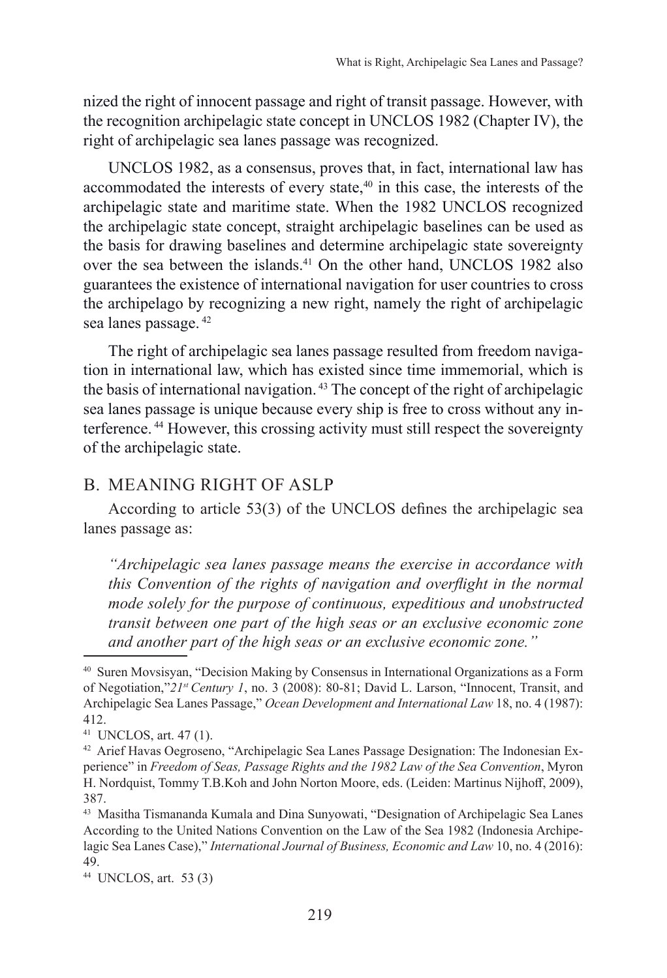nized the right of innocent passage and right of transit passage. However, with the recognition archipelagic state concept in UNCLOS 1982 (Chapter IV), the right of archipelagic sea lanes passage was recognized.

UNCLOS 1982, as a consensus, proves that, in fact, international law has accommodated the interests of every state, $40$  in this case, the interests of the archipelagic state and maritime state. When the 1982 UNCLOS recognized the archipelagic state concept, straight archipelagic baselines can be used as the basis for drawing baselines and determine archipelagic state sovereignty over the sea between the islands.<sup>41</sup> On the other hand, UNCLOS 1982 also guarantees the existence of international navigation for user countries to cross the archipelago by recognizing a new right, namely the right of archipelagic sea lanes passage. <sup>42</sup>

The right of archipelagic sea lanes passage resulted from freedom navigation in international law, which has existed since time immemorial, which is the basis of international navigation. 43 The concept of the right of archipelagic sea lanes passage is unique because every ship is free to cross without any interference. 44 However, this crossing activity must still respect the sovereignty of the archipelagic state.

### B. MEANING RIGHT OF ASLP

According to article 53(3) of the UNCLOS defines the archipelagic sea lanes passage as:

*"Archipelagic sea lanes passage means the exercise in accordance with this Convention of the rights of navigation and overflight in the normal mode solely for the purpose of continuous, expeditious and unobstructed transit between one part of the high seas or an exclusive economic zone and another part of the high seas or an exclusive economic zone."*

<sup>40</sup> Suren Movsisyan, "Decision Making by Consensus in International Organizations as a Form of Negotiation,"*21st Century 1*, no. 3 (2008): 80-81; David L. Larson, "Innocent, Transit, and Archipelagic Sea Lanes Passage," *Ocean Development and International Law* 18, no. 4 (1987): 412.

<sup>41</sup> UNCLOS, art. 47 (1).

<sup>42</sup> Arief Havas Oegroseno, "Archipelagic Sea Lanes Passage Designation: The Indonesian Experience" in *Freedom of Seas, Passage Rights and the 1982 Law of the Sea Convention*, Myron H. Nordquist, Tommy T.B.Koh and John Norton Moore, eds. (Leiden: Martinus Nijhoff, 2009), 387.

<sup>43</sup> Masitha Tismananda Kumala and Dina Sunyowati, "Designation of Archipelagic Sea Lanes According to the United Nations Convention on the Law of the Sea 1982 (Indonesia Archipelagic Sea Lanes Case)," *International Journal of Business, Economic and Law* 10, no. 4 (2016): 49.

<sup>44</sup> UNCLOS, art. 53 (3)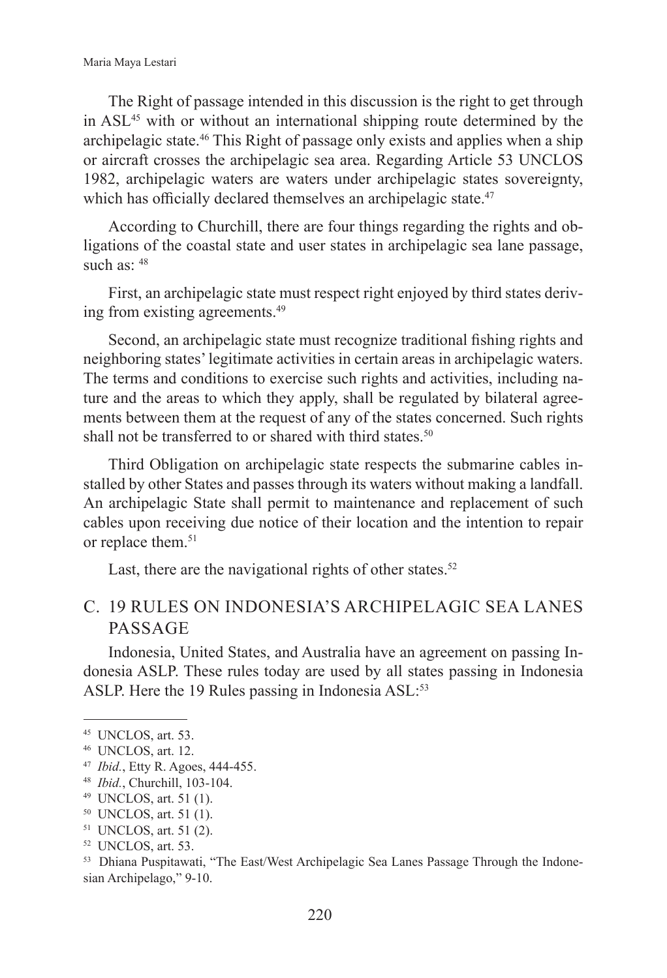The Right of passage intended in this discussion is the right to get through in ASL45 with or without an international shipping route determined by the archipelagic state.46 This Right of passage only exists and applies when a ship or aircraft crosses the archipelagic sea area. Regarding Article 53 UNCLOS 1982, archipelagic waters are waters under archipelagic states sovereignty, which has officially declared themselves an archipelagic state.<sup>47</sup>

According to Churchill, there are four things regarding the rights and obligations of the coastal state and user states in archipelagic sea lane passage, such as:  $48$ 

First, an archipelagic state must respect right enjoyed by third states deriving from existing agreements.49

Second, an archipelagic state must recognize traditional fishing rights and neighboring states' legitimate activities in certain areas in archipelagic waters. The terms and conditions to exercise such rights and activities, including nature and the areas to which they apply, shall be regulated by bilateral agreements between them at the request of any of the states concerned. Such rights shall not be transferred to or shared with third states.<sup>50</sup>

Third Obligation on archipelagic state respects the submarine cables installed by other States and passes through its waters without making a landfall. An archipelagic State shall permit to maintenance and replacement of such cables upon receiving due notice of their location and the intention to repair or replace them.<sup>51</sup>

Last, there are the navigational rights of other states. $52$ 

## C. 19 RULES ON INDONESIA'S ARCHIPELAGIC SEA LANES PASSAGE

Indonesia, United States, and Australia have an agreement on passing Indonesia ASLP. These rules today are used by all states passing in Indonesia ASLP. Here the 19 Rules passing in Indonesia ASL:<sup>53</sup>

<sup>45</sup> UNCLOS, art. 53.

<sup>46</sup> UNCLOS, art. 12.

<sup>47</sup> *Ibid.*, Etty R. Agoes, 444-455.

<sup>48</sup> *Ibid.*, Churchill, 103-104.

<sup>49</sup> UNCLOS, art. 51 (1).

<sup>50</sup> UNCLOS, art. 51 (1).

<sup>51</sup> UNCLOS, art. 51 (2).

<sup>52</sup> UNCLOS, art. 53.

<sup>53</sup> Dhiana Puspitawati, "The East/West Archipelagic Sea Lanes Passage Through the Indonesian Archipelago," 9-10.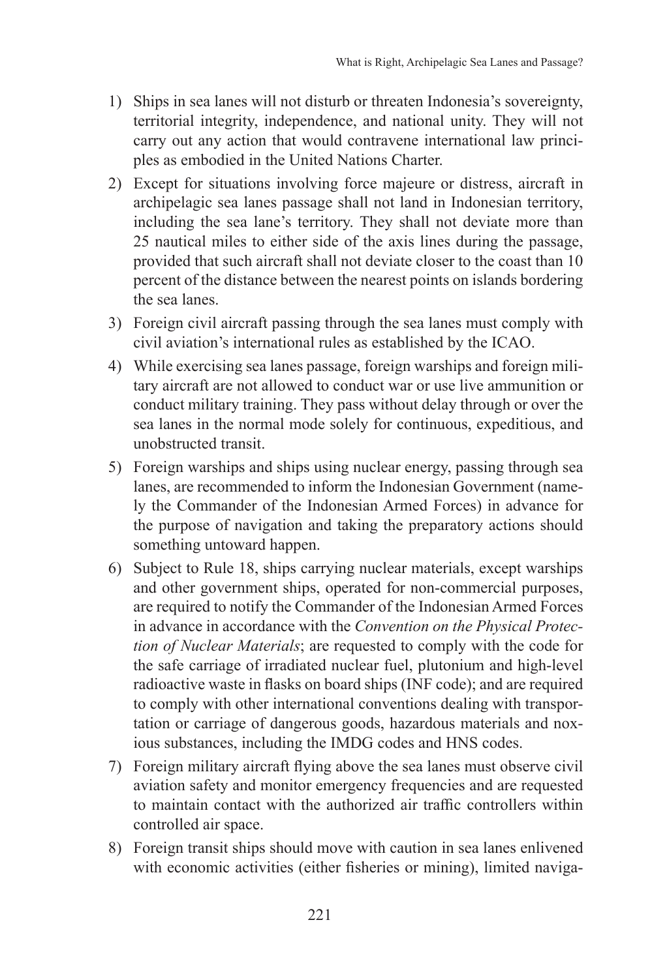- 1) Ships in sea lanes will not disturb or threaten Indonesia's sovereignty, territorial integrity, independence, and national unity. They will not carry out any action that would contravene international law principles as embodied in the United Nations Charter.
- 2) Except for situations involving force majeure or distress, aircraft in archipelagic sea lanes passage shall not land in Indonesian territory, including the sea lane's territory. They shall not deviate more than 25 nautical miles to either side of the axis lines during the passage, provided that such aircraft shall not deviate closer to the coast than 10 percent of the distance between the nearest points on islands bordering the sea lanes.
- 3) Foreign civil aircraft passing through the sea lanes must comply with civil aviation's international rules as established by the ICAO.
- 4) While exercising sea lanes passage, foreign warships and foreign military aircraft are not allowed to conduct war or use live ammunition or conduct military training. They pass without delay through or over the sea lanes in the normal mode solely for continuous, expeditious, and unobstructed transit.
- 5) Foreign warships and ships using nuclear energy, passing through sea lanes, are recommended to inform the Indonesian Government (namely the Commander of the Indonesian Armed Forces) in advance for the purpose of navigation and taking the preparatory actions should something untoward happen.
- 6) Subject to Rule 18, ships carrying nuclear materials, except warships and other government ships, operated for non-commercial purposes, are required to notify the Commander of the Indonesian Armed Forces in advance in accordance with the *Convention on the Physical Protection of Nuclear Materials*; are requested to comply with the code for the safe carriage of irradiated nuclear fuel, plutonium and high-level radioactive waste in flasks on board ships (INF code); and are required to comply with other international conventions dealing with transportation or carriage of dangerous goods, hazardous materials and noxious substances, including the IMDG codes and HNS codes.
- 7) Foreign military aircraft flying above the sea lanes must observe civil aviation safety and monitor emergency frequencies and are requested to maintain contact with the authorized air traffic controllers within controlled air space.
- 8) Foreign transit ships should move with caution in sea lanes enlivened with economic activities (either fisheries or mining), limited naviga-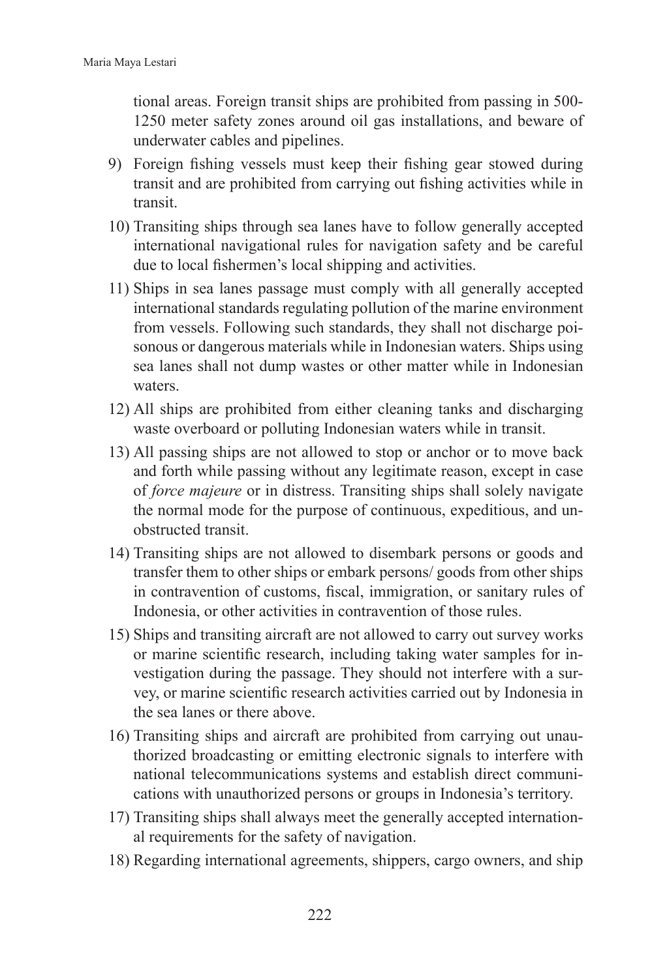tional areas. Foreign transit ships are prohibited from passing in 500- 1250 meter safety zones around oil gas installations, and beware of underwater cables and pipelines.

- 9) Foreign fishing vessels must keep their fishing gear stowed during transit and are prohibited from carrying out fishing activities while in transit.
- 10) Transiting ships through sea lanes have to follow generally accepted international navigational rules for navigation safety and be careful due to local fishermen's local shipping and activities.
- 11) Ships in sea lanes passage must comply with all generally accepted international standards regulating pollution of the marine environment from vessels. Following such standards, they shall not discharge poisonous or dangerous materials while in Indonesian waters. Ships using sea lanes shall not dump wastes or other matter while in Indonesian waters.
- 12) All ships are prohibited from either cleaning tanks and discharging waste overboard or polluting Indonesian waters while in transit.
- 13) All passing ships are not allowed to stop or anchor or to move back and forth while passing without any legitimate reason, except in case of *force majeure* or in distress. Transiting ships shall solely navigate the normal mode for the purpose of continuous, expeditious, and unobstructed transit.
- 14) Transiting ships are not allowed to disembark persons or goods and transfer them to other ships or embark persons/ goods from other ships in contravention of customs, fiscal, immigration, or sanitary rules of Indonesia, or other activities in contravention of those rules.
- 15) Ships and transiting aircraft are not allowed to carry out survey works or marine scientific research, including taking water samples for investigation during the passage. They should not interfere with a survey, or marine scientific research activities carried out by Indonesia in the sea lanes or there above.
- 16) Transiting ships and aircraft are prohibited from carrying out unauthorized broadcasting or emitting electronic signals to interfere with national telecommunications systems and establish direct communications with unauthorized persons or groups in Indonesia's territory.
- 17) Transiting ships shall always meet the generally accepted international requirements for the safety of navigation.
- 18) Regarding international agreements, shippers, cargo owners, and ship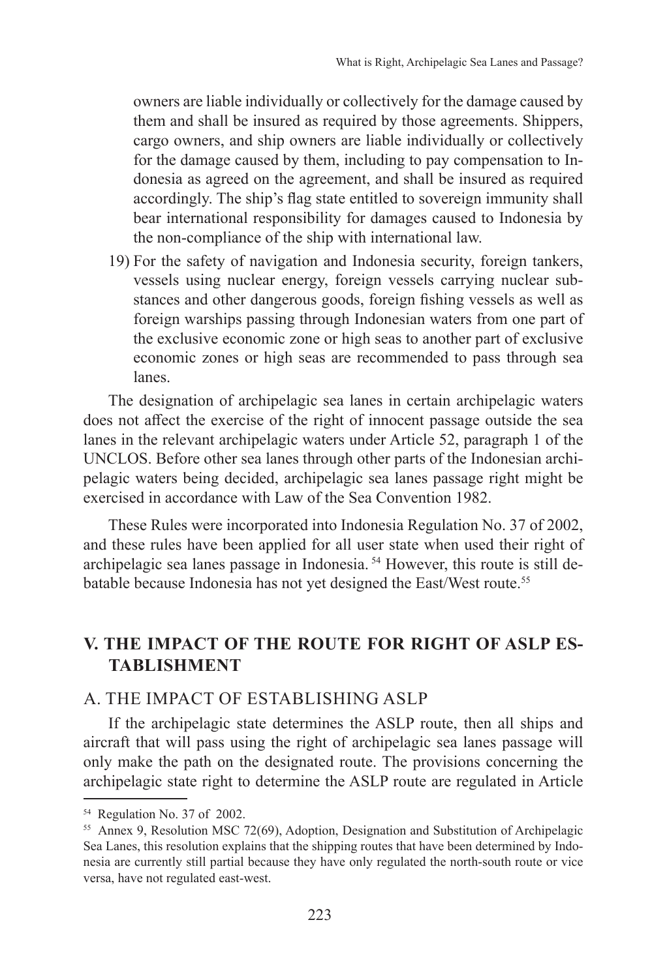owners are liable individually or collectively for the damage caused by them and shall be insured as required by those agreements. Shippers, cargo owners, and ship owners are liable individually or collectively for the damage caused by them, including to pay compensation to Indonesia as agreed on the agreement, and shall be insured as required accordingly. The ship's flag state entitled to sovereign immunity shall bear international responsibility for damages caused to Indonesia by the non-compliance of the ship with international law.

19) For the safety of navigation and Indonesia security, foreign tankers, vessels using nuclear energy, foreign vessels carrying nuclear substances and other dangerous goods, foreign fishing vessels as well as foreign warships passing through Indonesian waters from one part of the exclusive economic zone or high seas to another part of exclusive economic zones or high seas are recommended to pass through sea lanes.

The designation of archipelagic sea lanes in certain archipelagic waters does not affect the exercise of the right of innocent passage outside the sea lanes in the relevant archipelagic waters under Article 52, paragraph 1 of the UNCLOS. Before other sea lanes through other parts of the Indonesian archipelagic waters being decided, archipelagic sea lanes passage right might be exercised in accordance with Law of the Sea Convention 1982.

These Rules were incorporated into Indonesia Regulation No. 37 of 2002, and these rules have been applied for all user state when used their right of archipelagic sea lanes passage in Indonesia. 54 However, this route is still debatable because Indonesia has not yet designed the East/West route.<sup>55</sup>

# **V. THE IMPACT OF THE ROUTE FOR RIGHT OF ASLP ES-TABLISHMENT**

### A. THE IMPACT OF ESTABLISHING ASLP

If the archipelagic state determines the ASLP route, then all ships and aircraft that will pass using the right of archipelagic sea lanes passage will only make the path on the designated route. The provisions concerning the archipelagic state right to determine the ASLP route are regulated in Article

<sup>54</sup> Regulation No. 37 of 2002.

<sup>55</sup> Annex 9, Resolution MSC 72(69), Adoption, Designation and Substitution of Archipelagic Sea Lanes, this resolution explains that the shipping routes that have been determined by Indonesia are currently still partial because they have only regulated the north-south route or vice versa, have not regulated east-west.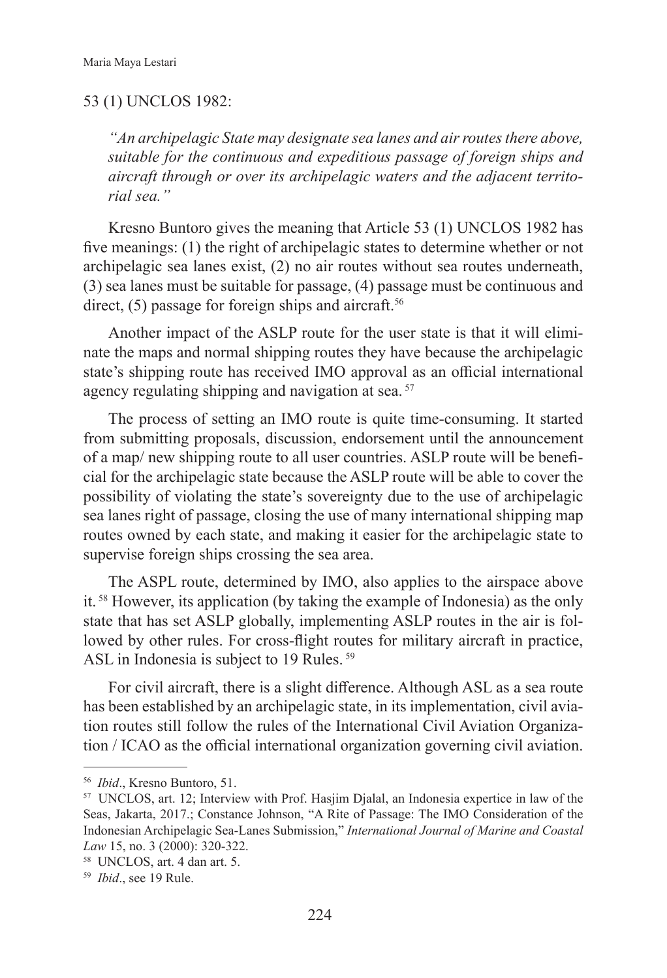#### 53 (1) UNCLOS 1982:

*"An archipelagic State may designate sea lanes and air routes there above, suitable for the continuous and expeditious passage of foreign ships and aircraft through or over its archipelagic waters and the adjacent territorial sea."*

Kresno Buntoro gives the meaning that Article 53 (1) UNCLOS 1982 has five meanings: (1) the right of archipelagic states to determine whether or not archipelagic sea lanes exist, (2) no air routes without sea routes underneath, (3) sea lanes must be suitable for passage, (4) passage must be continuous and direct,  $(5)$  passage for foreign ships and aircraft.<sup>56</sup>

Another impact of the ASLP route for the user state is that it will eliminate the maps and normal shipping routes they have because the archipelagic state's shipping route has received IMO approval as an official international agency regulating shipping and navigation at sea.<sup>57</sup>

The process of setting an IMO route is quite time-consuming. It started from submitting proposals, discussion, endorsement until the announcement of a map/ new shipping route to all user countries. ASLP route will be beneficial for the archipelagic state because the ASLP route will be able to cover the possibility of violating the state's sovereignty due to the use of archipelagic sea lanes right of passage, closing the use of many international shipping map routes owned by each state, and making it easier for the archipelagic state to supervise foreign ships crossing the sea area.

The ASPL route, determined by IMO, also applies to the airspace above it. 58 However, its application (by taking the example of Indonesia) as the only state that has set ASLP globally, implementing ASLP routes in the air is followed by other rules. For cross-flight routes for military aircraft in practice, ASL in Indonesia is subject to 19 Rules.<sup>59</sup>

For civil aircraft, there is a slight difference. Although ASL as a sea route has been established by an archipelagic state, in its implementation, civil aviation routes still follow the rules of the International Civil Aviation Organization / ICAO as the official international organization governing civil aviation.

<sup>56</sup> *Ibid*., Kresno Buntoro, 51.

<sup>57</sup> UNCLOS, art. 12; Interview with Prof. Hasjim Djalal, an Indonesia expertice in law of the Seas, Jakarta, 2017.; Constance Johnson, "A Rite of Passage: The IMO Consideration of the Indonesian Archipelagic Sea-Lanes Submission," *International Journal of Marine and Coastal Law* 15, no. 3 (2000): 320-322.

<sup>58</sup> UNCLOS, art. 4 dan art. 5.

<sup>59</sup> *Ibid*., see 19 Rule.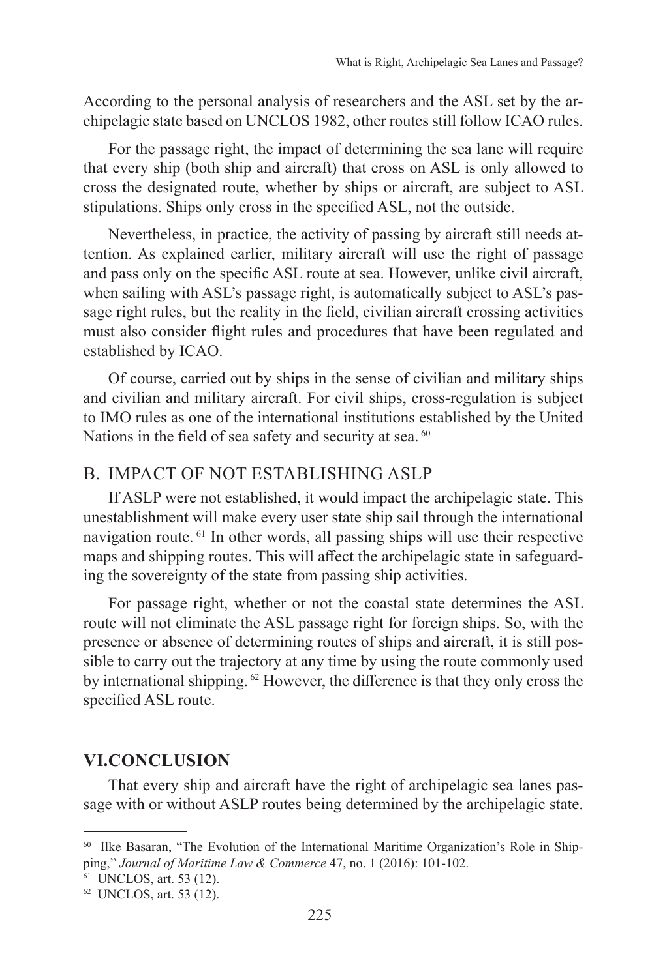According to the personal analysis of researchers and the ASL set by the archipelagic state based on UNCLOS 1982, other routes still follow ICAO rules.

For the passage right, the impact of determining the sea lane will require that every ship (both ship and aircraft) that cross on ASL is only allowed to cross the designated route, whether by ships or aircraft, are subject to ASL stipulations. Ships only cross in the specified ASL, not the outside.

Nevertheless, in practice, the activity of passing by aircraft still needs attention. As explained earlier, military aircraft will use the right of passage and pass only on the specific ASL route at sea. However, unlike civil aircraft, when sailing with ASL's passage right, is automatically subject to ASL's passage right rules, but the reality in the field, civilian aircraft crossing activities must also consider flight rules and procedures that have been regulated and established by ICAO.

Of course, carried out by ships in the sense of civilian and military ships and civilian and military aircraft. For civil ships, cross-regulation is subject to IMO rules as one of the international institutions established by the United Nations in the field of sea safety and security at sea. <sup>60</sup>

## B. IMPACT OF NOT ESTABLISHING ASLP

If ASLP were not established, it would impact the archipelagic state. This unestablishment will make every user state ship sail through the international navigation route. 61 In other words, all passing ships will use their respective maps and shipping routes. This will affect the archipelagic state in safeguarding the sovereignty of the state from passing ship activities.

For passage right, whether or not the coastal state determines the ASL route will not eliminate the ASL passage right for foreign ships. So, with the presence or absence of determining routes of ships and aircraft, it is still possible to carry out the trajectory at any time by using the route commonly used by international shipping. <sup>62</sup> However, the difference is that they only cross the specified ASL route.

#### **VI.CONCLUSION**

That every ship and aircraft have the right of archipelagic sea lanes passage with or without ASLP routes being determined by the archipelagic state.

<sup>&</sup>lt;sup>60</sup> Ilke Basaran, "The Evolution of the International Maritime Organization's Role in Shipping," *Journal of Maritime Law & Commerce* 47, no. 1 (2016): 101-102.

<sup>61</sup> UNCLOS, art. 53 (12).

<sup>62</sup> UNCLOS, art. 53 (12).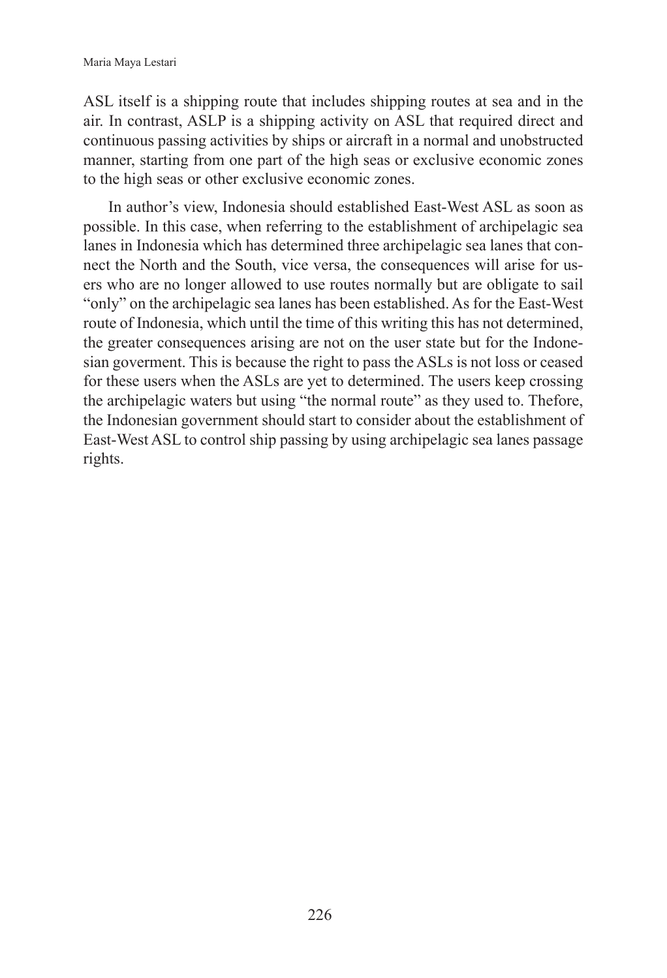ASL itself is a shipping route that includes shipping routes at sea and in the air. In contrast, ASLP is a shipping activity on ASL that required direct and continuous passing activities by ships or aircraft in a normal and unobstructed manner, starting from one part of the high seas or exclusive economic zones to the high seas or other exclusive economic zones.

In author's view, Indonesia should established East-West ASL as soon as possible. In this case, when referring to the establishment of archipelagic sea lanes in Indonesia which has determined three archipelagic sea lanes that connect the North and the South, vice versa, the consequences will arise for users who are no longer allowed to use routes normally but are obligate to sail "only" on the archipelagic sea lanes has been established. As for the East-West route of Indonesia, which until the time of this writing this has not determined, the greater consequences arising are not on the user state but for the Indonesian goverment. This is because the right to pass the ASLs is not loss or ceased for these users when the ASLs are yet to determined. The users keep crossing the archipelagic waters but using "the normal route" as they used to. Thefore, the Indonesian government should start to consider about the establishment of East-West ASL to control ship passing by using archipelagic sea lanes passage rights.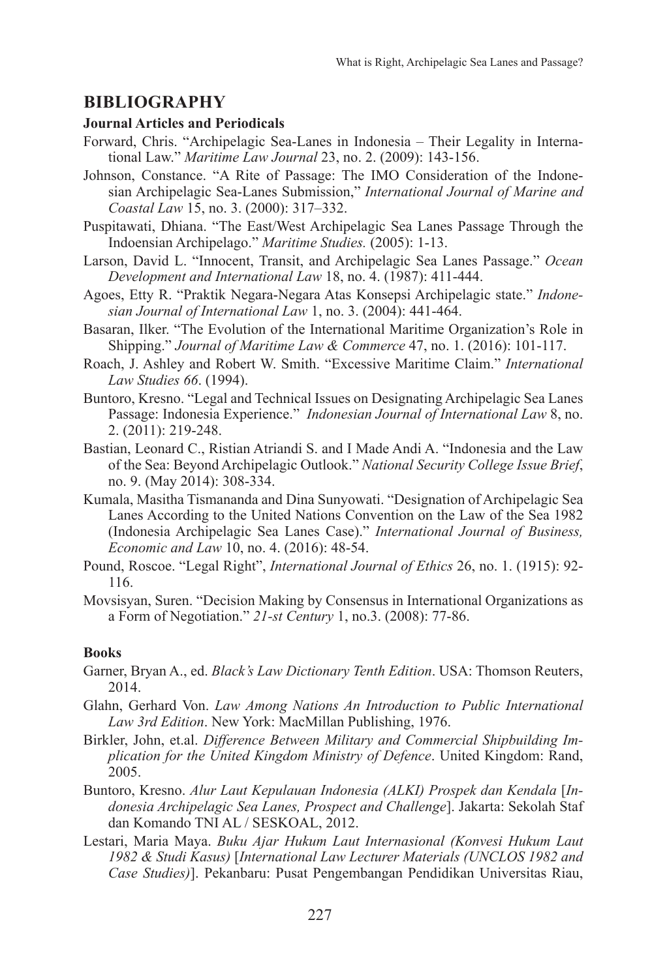## **BIBLIOGRAPHY**

#### **Journal Articles and Periodicals**

- Forward, Chris. "Archipelagic Sea-Lanes in Indonesia Their Legality in International Law." *Maritime Law Journal* 23, no. 2. (2009): 143-156.
- Johnson, Constance. "A Rite of Passage: The IMO Consideration of the Indonesian Archipelagic Sea-Lanes Submission," *International Journal of Marine and Coastal Law* 15, no. 3. (2000): 317–332.
- Puspitawati, Dhiana. "The East/West Archipelagic Sea Lanes Passage Through the Indoensian Archipelago." *Maritime Studies.* (2005): 1-13.
- Larson, David L. "Innocent, Transit, and Archipelagic Sea Lanes Passage." *Ocean Development and International Law* 18, no. 4. (1987): 411-444.
- Agoes, Etty R. "Praktik Negara-Negara Atas Konsepsi Archipelagic state." *Indonesian Journal of International Law* 1, no. 3. (2004): 441-464.
- Basaran, Ilker. "The Evolution of the International Maritime Organization's Role in Shipping." *Journal of Maritime Law & Commerce* 47, no. 1. (2016): 101-117.
- Roach, J. Ashley and Robert W. Smith. "Excessive Maritime Claim." *International Law Studies 66*. (1994).
- Buntoro, Kresno. "Legal and Technical Issues on Designating Archipelagic Sea Lanes Passage: Indonesia Experience." *Indonesian Journal of International Law* 8, no. 2. (2011): 219-248.
- Bastian, Leonard C., Ristian Atriandi S. and I Made Andi A. "Indonesia and the Law of the Sea: Beyond Archipelagic Outlook." *National Security College Issue Brief*, no. 9. (May 2014): 308-334.
- Kumala, Masitha Tismananda and Dina Sunyowati. "Designation of Archipelagic Sea Lanes According to the United Nations Convention on the Law of the Sea 1982 (Indonesia Archipelagic Sea Lanes Case)." *International Journal of Business, Economic and Law* 10, no. 4. (2016): 48-54.
- Pound, Roscoe. "Legal Right", *International Journal of Ethics* 26, no. 1. (1915): 92- 116.
- Movsisyan, Suren. "Decision Making by Consensus in International Organizations as a Form of Negotiation." *21-st Century* 1, no.3. (2008): 77-86.

#### **Books**

- Garner, Bryan A., ed. *Black's Law Dictionary Tenth Edition*. USA: Thomson Reuters, 2014.
- Glahn, Gerhard Von. *Law Among Nations An Introduction to Public International Law 3rd Edition*. New York: MacMillan Publishing, 1976.
- Birkler, John, et.al. *Difference Between Military and Commercial Shipbuilding Implication for the United Kingdom Ministry of Defence*. United Kingdom: Rand, 2005.
- Buntoro, Kresno. *Alur Laut Kepulauan Indonesia (ALKI) Prospek dan Kendala* [*Indonesia Archipelagic Sea Lanes, Prospect and Challenge*]. Jakarta: Sekolah Staf dan Komando TNI AL / SESKOAL, 2012.
- Lestari, Maria Maya. *Buku Ajar Hukum Laut Internasional (Konvesi Hukum Laut 1982 & Studi Kasus)* [*International Law Lecturer Materials (UNCLOS 1982 and Case Studies)*]. Pekanbaru: Pusat Pengembangan Pendidikan Universitas Riau,